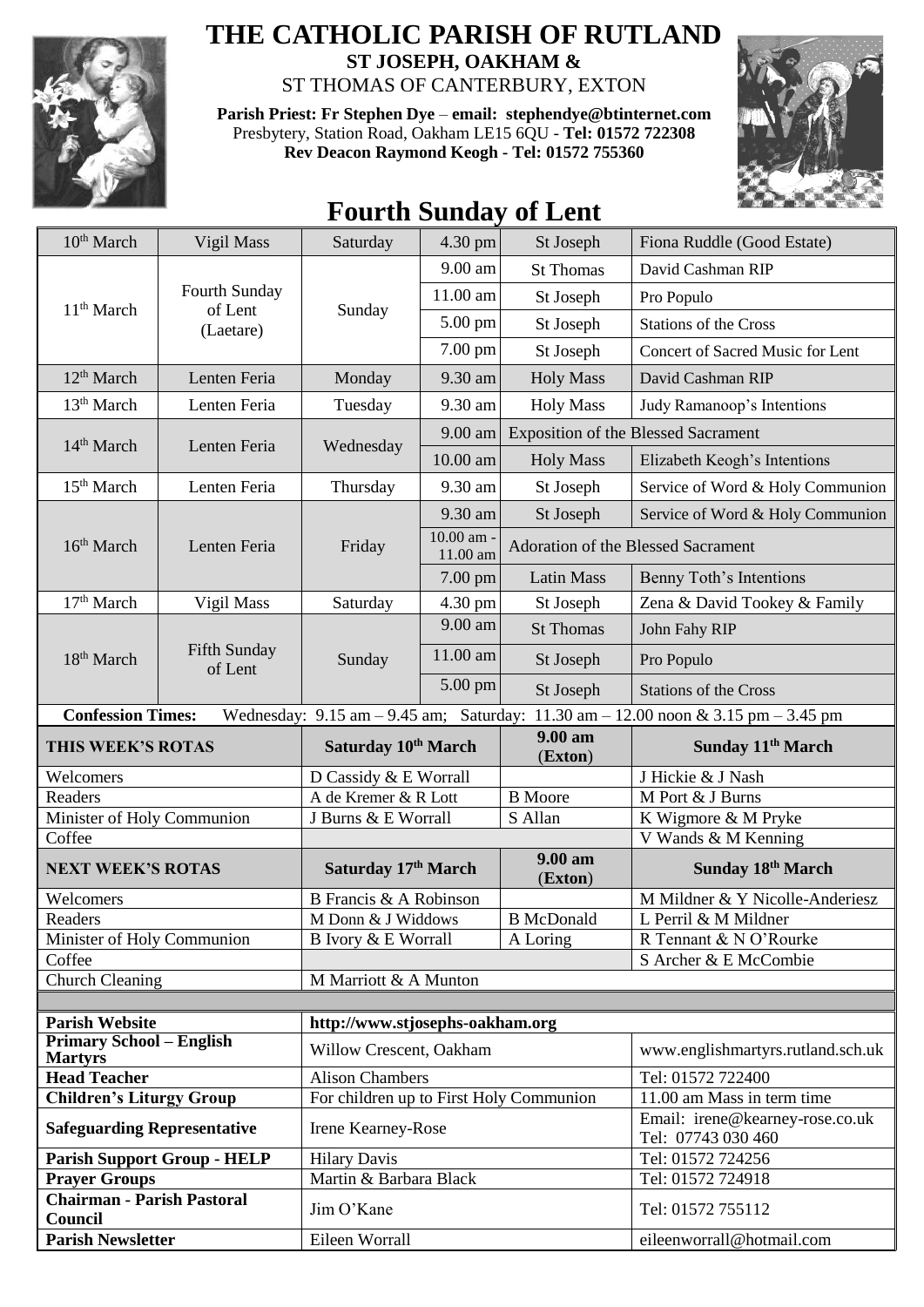

## **THE CATHOLIC PARISH OF RUTLAND ST JOSEPH, OAKHAM &**

ST THOMAS OF CANTERBURY, EXTON

**Parish Priest: Fr Stephen Dye** – **[email: stephendye@btinternet.com](mailto:email:%20%20stephendye@btinternet.com)** Presbytery, Station Road, Oakham LE15 6QU - **Tel: 01572 722308 Rev Deacon Raymond Keogh - Tel: 01572 755360**



## **Fourth Sunday of Lent**

| 10 <sup>th</sup> March                                                                                                  | Vigil Mass                            | Saturday                                                      | 4.30 pm                | St Joseph                                 | Fiona Ruddle (Good Estate)                                    |  |  |
|-------------------------------------------------------------------------------------------------------------------------|---------------------------------------|---------------------------------------------------------------|------------------------|-------------------------------------------|---------------------------------------------------------------|--|--|
|                                                                                                                         | Fourth Sunday<br>of Lent<br>(Laetare) | Sunday                                                        | $9.00$ am              | <b>St Thomas</b>                          | David Cashman RIP                                             |  |  |
| 11 <sup>th</sup> March                                                                                                  |                                       |                                                               | 11.00 am               | St Joseph                                 | Pro Populo                                                    |  |  |
|                                                                                                                         |                                       |                                                               | 5.00 pm                | St Joseph                                 | <b>Stations of the Cross</b>                                  |  |  |
|                                                                                                                         |                                       |                                                               | 7.00 pm                | St Joseph                                 | Concert of Sacred Music for Lent                              |  |  |
| 12 <sup>th</sup> March                                                                                                  | Lenten Feria                          | Monday                                                        | 9.30 am                | <b>Holy Mass</b>                          | David Cashman RIP                                             |  |  |
| 13 <sup>th</sup> March                                                                                                  | Lenten Feria                          | Tuesday                                                       | 9.30 am                | <b>Holy Mass</b>                          | Judy Ramanoop's Intentions                                    |  |  |
| 14 <sup>th</sup> March                                                                                                  | Lenten Feria                          | Wednesday                                                     | 9.00 am                |                                           | <b>Exposition of the Blessed Sacrament</b>                    |  |  |
|                                                                                                                         |                                       |                                                               | 10.00 am               | <b>Holy Mass</b>                          | Elizabeth Keogh's Intentions                                  |  |  |
| 15 <sup>th</sup> March                                                                                                  | Lenten Feria                          | Thursday                                                      | 9.30 am                | St Joseph                                 | Service of Word & Holy Communion                              |  |  |
|                                                                                                                         | Lenten Feria                          | Friday                                                        | 9.30 am                | St Joseph                                 | Service of Word & Holy Communion                              |  |  |
| 16 <sup>th</sup> March                                                                                                  |                                       |                                                               | 10.00 am -<br>11.00 am | <b>Adoration of the Blessed Sacrament</b> |                                                               |  |  |
|                                                                                                                         |                                       |                                                               | 7.00 pm                | <b>Latin Mass</b>                         | Benny Toth's Intentions                                       |  |  |
| 17 <sup>th</sup> March                                                                                                  | Vigil Mass                            | Saturday                                                      | $4.30 \text{ pm}$      | St Joseph                                 | Zena & David Tookey & Family                                  |  |  |
|                                                                                                                         |                                       | Sunday                                                        | 9.00 am                | <b>St Thomas</b>                          | John Fahy RIP                                                 |  |  |
| 18 <sup>th</sup> March                                                                                                  | Fifth Sunday<br>of Lent               |                                                               | 11.00 am               | St Joseph                                 | Pro Populo                                                    |  |  |
|                                                                                                                         |                                       |                                                               | 5.00 pm                | St Joseph                                 | <b>Stations of the Cross</b>                                  |  |  |
| <b>Confession Times:</b><br>Wednesday: $9.15$ am $-9.45$ am; Saturday:<br>11.30 am $-$ 12.00 noon & 3.15 pm $-$ 3.45 pm |                                       |                                                               |                        |                                           |                                                               |  |  |
| THIS WEEK'S ROTAS                                                                                                       |                                       | Saturday 10th March                                           |                        |                                           |                                                               |  |  |
|                                                                                                                         |                                       |                                                               |                        | 9.00 am                                   | Sunday 11 <sup>th</sup> March                                 |  |  |
| Welcomers                                                                                                               |                                       | D Cassidy & E Worrall                                         |                        | (Exton)                                   | J Hickie & J Nash                                             |  |  |
| Readers                                                                                                                 |                                       | A de Kremer & R Lott                                          |                        | <b>B</b> Moore                            | M Port & J Burns                                              |  |  |
| Minister of Holy Communion                                                                                              |                                       | J Burns & E Worrall                                           |                        | S Allan                                   | K Wigmore & M Pryke                                           |  |  |
| Coffee                                                                                                                  |                                       |                                                               |                        |                                           | V Wands & M Kenning                                           |  |  |
| <b>NEXT WEEK'S ROTAS</b>                                                                                                |                                       | Saturday 17th March                                           |                        | 9.00 am<br>(Exton)                        | Sunday 18th March                                             |  |  |
| Welcomers                                                                                                               |                                       | <b>B</b> Francis & A Robinson                                 |                        |                                           | M Mildner & Y Nicolle-Anderiesz                               |  |  |
| Readers                                                                                                                 |                                       | M Donn & J Widdows                                            |                        | <b>B</b> McDonald                         | L Perril & M Mildner                                          |  |  |
| Minister of Holy Communion                                                                                              |                                       | <b>B</b> Ivory & E Worrall                                    |                        | A Loring                                  | R Tennant & N O'Rourke                                        |  |  |
| Coffee                                                                                                                  |                                       |                                                               |                        |                                           | S Archer & E McCombie                                         |  |  |
| <b>Church Cleaning</b>                                                                                                  |                                       | M Marriott & A Munton                                         |                        |                                           |                                                               |  |  |
|                                                                                                                         |                                       |                                                               |                        |                                           |                                                               |  |  |
| <b>Parish Website</b><br><b>Primary School - English</b>                                                                |                                       | http://www.stjosephs-oakham.org                               |                        |                                           |                                                               |  |  |
| <b>Martyrs</b>                                                                                                          |                                       | Willow Crescent, Oakham                                       |                        |                                           | www.englishmartyrs.rutland.sch.uk                             |  |  |
| <b>Head Teacher</b>                                                                                                     |                                       | <b>Alison Chambers</b>                                        |                        |                                           | Tel: 01572 722400                                             |  |  |
| <b>Children's Liturgy Group</b><br><b>Safeguarding Representative</b>                                                   |                                       | For children up to First Holy Communion<br>Irene Kearney-Rose |                        |                                           | 11.00 am Mass in term time<br>Email: irene@kearney-rose.co.uk |  |  |
|                                                                                                                         |                                       |                                                               |                        |                                           | Tel: 07743 030 460                                            |  |  |
|                                                                                                                         | <b>Parish Support Group - HELP</b>    | <b>Hilary Davis</b>                                           |                        |                                           | Tel: 01572 724256                                             |  |  |
| <b>Prayer Groups</b><br><b>Chairman - Parish Pastoral</b>                                                               |                                       | Martin & Barbara Black<br>Jim O'Kane                          |                        |                                           | Tel: 01572 724918<br>Tel: 01572 755112                        |  |  |
| Council<br><b>Parish Newsletter</b>                                                                                     |                                       | Eileen Worrall                                                |                        |                                           | eileenworrall@hotmail.com                                     |  |  |